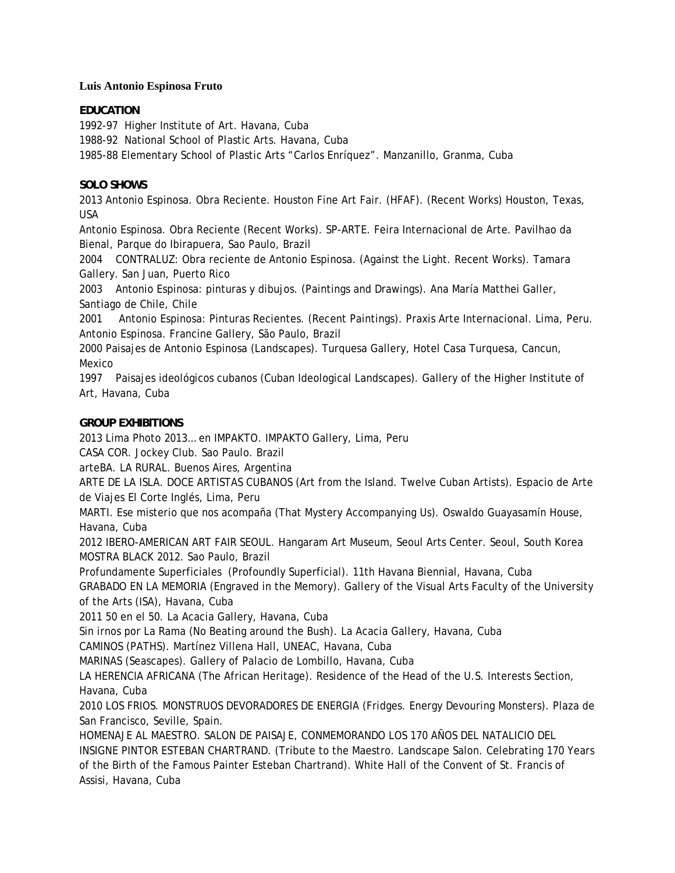#### **Luis Antonio Espinosa Fruto**

### **EDUCATION**

1992-97 Higher Institute of Art. Havana, Cuba

1988-92 National School of Plastic Arts. Havana, Cuba

1985-88 Elementary School of Plastic Arts "Carlos Enríquez". Manzanillo, Granma, Cuba

## **SOLO SHOWS**

2013 Antonio Espinosa. Obra Reciente. Houston Fine Art Fair. (HFAF). (Recent Works) Houston, Texas, USA

Antonio Espinosa. Obra Reciente (Recent Works). SP-ARTE. Feira Internacional de Arte. Pavilhao da Bienal, Parque do Ibirapuera, Sao Paulo, Brazil

2004 CONTRALUZ: Obra reciente de Antonio Espinosa. (Against the Light. Recent Works). Tamara Gallery. San Juan, Puerto Rico

2003 Antonio Espinosa: pinturas y dibujos. (Paintings and Drawings). Ana María Matthei Galler, Santiago de Chile, Chile

2001 Antonio Espinosa: Pinturas Recientes. (Recent Paintings). Praxis Arte Internacional. Lima, Peru. Antonio Espinosa. Francine Gallery, São Paulo, Brazil

2000 Paisajes de Antonio Espinosa (Landscapes). Turquesa Gallery, Hotel Casa Turquesa, Cancun, Mexico

1997 Paisajes ideológicos cubanos (Cuban Ideological Landscapes). Gallery of the Higher Institute of Art, Havana, Cuba

### **GROUP EXHIBITIONS**

2013 Lima Photo 2013… en IMPAKTO. IMPAKTO Gallery, Lima, Peru

CASA COR. Jockey Club. Sao Paulo. Brazil

arteBA. LA RURAL. Buenos Aires, Argentina

ARTE DE LA ISLA. DOCE ARTISTAS CUBANOS (Art from the Island. Twelve Cuban Artists). Espacio de Arte de Viajes El Corte Inglés, Lima, Peru

MARTI. Ese misterio que nos acompaña (That Mystery Accompanying Us). Oswaldo Guayasamín House, Havana, Cuba

2012 IBERO-AMERICAN ART FAIR SEOUL. Hangaram Art Museum, Seoul Arts Center. Seoul, South Korea MOSTRA BLACK 2012. Sao Paulo, Brazil

Profundamente Superficiales (Profoundly Superficial). 11th Havana Biennial, Havana, Cuba

GRABADO EN LA MEMORIA (Engraved in the Memory). Gallery of the Visual Arts Faculty of the University of the Arts (ISA), Havana, Cuba

2011 50 en el 50. La Acacia Gallery, Havana, Cuba

Sin irnos por La Rama (No Beating around the Bush). La Acacia Gallery, Havana, Cuba

CAMINOS (PATHS). Martínez Villena Hall, UNEAC, Havana, Cuba

MARINAS (Seascapes). Gallery of Palacio de Lombillo, Havana, Cuba

LA HERENCIA AFRICANA (The African Heritage). Residence of the Head of the U.S. Interests Section, Havana, Cuba

2010 LOS FRIOS. MONSTRUOS DEVORADORES DE ENERGIA (Fridges. Energy Devouring Monsters). Plaza de San Francisco, Seville, Spain.

HOMENAJE AL MAESTRO. SALON DE PAISAJE, CONMEMORANDO LOS 170 AÑOS DEL NATALICIO DEL INSIGNE PINTOR ESTEBAN CHARTRAND. (Tribute to the Maestro. Landscape Salon. Celebrating 170 Years of the Birth of the Famous Painter Esteban Chartrand). White Hall of the Convent of St. Francis of Assisi, Havana, Cuba